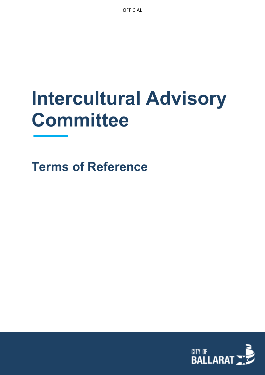**OFFICIAL** 

# **Intercultural Advisory Committee**

**Terms of Reference**

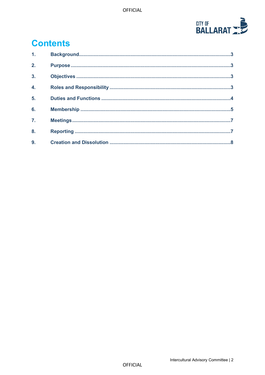

# **Contents**

| 1.11             |  |
|------------------|--|
| 2.               |  |
| $\overline{3}$ . |  |
| $\overline{4}$ . |  |
| 5.               |  |
| 6.               |  |
| $\overline{7}$ . |  |
| 8.               |  |
|                  |  |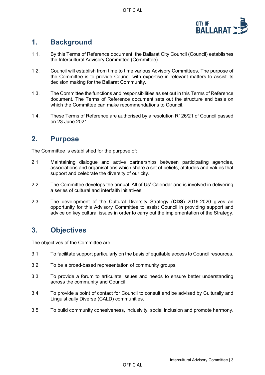

# <span id="page-2-0"></span>**1. Background**

- 1.1. By this Terms of Reference document, the Ballarat City Council (Council) establishes the Intercultural Advisory Committee (Committee).
- 1.2. Council will establish from time to time various Advisory Committees. The purpose of the Committee is to provide Council with expertise in relevant matters to assist its decision making for the Ballarat Community.
- 1.3. The Committee the functions and responsibilities as set out in this Terms of Reference document. The Terms of Reference document sets out the structure and basis on which the Committee can make recommendations to Council.
- 1.4. These Terms of Reference are authorised by a resolution R126/21 of Council passed on 23 June 2021.

#### <span id="page-2-1"></span>**2. Purpose**

The Committee is established for the purpose of:

- 2.1 Maintaining dialogue and active partnerships between participating agencies, associations and organisations which share a set of beliefs, attitudes and values that support and celebrate the diversity of our city.
- 2.2 The Committee develops the annual 'All of Us' Calendar and is involved in delivering a series of cultural and interfaith initiatives.
- 2.3 The development of the Cultural Diversity Strategy (**CDS**) 2016-2020 gives an opportunity for this Advisory Committee to assist Council in providing support and advice on key cultural issues in order to carry out the implementation of the Strategy.

# <span id="page-2-2"></span>**3. Objectives**

The objectives of the Committee are:

- 3.1 To facilitate support particularly on the basis of equitable access to Council resources.
- 3.2 To be a broad-based representation of community groups.
- <span id="page-2-3"></span>3.3 To provide a forum to articulate issues and needs to ensure better understanding across the community and Council.
- 3.4 To provide a point of contact for Council to consult and be advised by Culturally and Linguistically Diverse (CALD) communities.
- 3.5 To build community cohesiveness, inclusivity, social inclusion and promote harmony.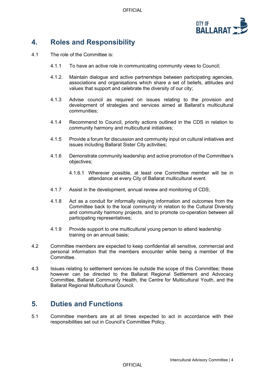OFFICIAL



# **4. Roles and Responsibility**

- 4.1 The role of the Committee is:
	- 4.1.1 To have an active role in communicating community views to Council;
	- 4.1.2. Maintain dialogue and active partnerships between participating agencies, associations and organisations which share a set of beliefs, attitudes and values that support and celebrate the diversity of our city;
	- 4.1.3 Advise council as required on issues relating to the provision and development of strategies and services aimed at Ballarat's multicultural communities;
	- 4.1.4 Recommend to Council, priority actions outlined in the CDS in relation to community harmony and multicultural initiatives;
	- 4.1.5 Provide a forum for discussion and community input on cultural initiatives and issues including Ballarat Sister City activities;
	- 4.1.6 Demonstrate community leadership and active promotion of the Committee's objectives;
		- 4.1.6.1 Wherever possible, at least one Committee member will be in attendance at every City of Ballarat multicultural event.
	- 4.1.7 Assist in the development, annual review and monitoring of CDS;
	- 4.1.8 Act as a conduit for informally relaying information and outcomes from the Committee back to the local community in relation to the Cultural Diversity and community harmony projects, and to promote co-operation between all participating representatives;
	- 4.1.9 Provide support to one multicultural young person to attend leadership training on an annual basis;
- 4.2 Committee members are expected to keep confidential all sensitive, commercial and personal information that the members encounter while being a member of the **Committee**
- 4.3 Issues relating to settlement services lie outside the scope of this Committee; these however can be directed to the Ballarat Regional Settlement and Advocacy Committee, Ballarat Community Health, the Centre for Multicultural Youth, and the Ballarat Regional Multicultural Council.

#### <span id="page-3-0"></span>**5. Duties and Functions**

5.1 Committee members are at all times expected to act in accordance with their responsibilities set out in Council's Committee Policy.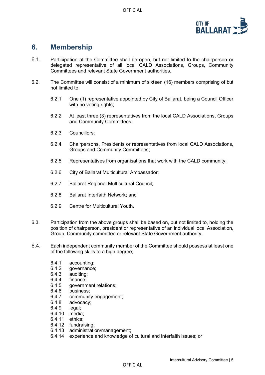

## <span id="page-4-0"></span>**6. Membership**

- 6.1. Participation at the Committee shall be open, but not limited to the chairperson or delegated representative of all local CALD Associations, Groups, Community Committees and relevant State Government authorities.
- <span id="page-4-1"></span>6.2. The Committee will consist of a minimum of sixteen (16) members comprising of but not limited to:
	- 6.2.1 One (1) representative appointed by City of Ballarat, being a Council Officer with no voting rights;
	- 6.2.2 At least three (3) representatives from the local CALD Associations, Groups and Community Committees;
	- 6.2.3 Councillors;
	- 6.2.4 Chairpersons, Presidents or representatives from local CALD Associations, Groups and Community Committees;
	- 6.2.5 Representatives from organisations that work with the CALD community;
	- 6.2.6 City of Ballarat Multicultural Ambassador;
	- 6.2.7 Ballarat Regional Multicultural Council;
	- 6.2.8 Ballarat Interfaith Network; and
	- 6.2.9 Centre for Multicultural Youth.
- 6.3. Participation from the above groups shall be based on, but not limited to, holding the position of chairperson, president or representative of an individual local Association, Group, Community committee or relevant State Government authority.
- 6.4. Each independent community member of the Committee should possess at least one of the following skills to a high degree;
	- 6.4.1 accounting;<br>6.4.2 governance
	- qovernance;
	- 6.4.3 auditing;
	- 6.4.4 finance;
	- 6.4.5 government relations;
	- 6.4.6 business;<br>6.4.7 communit
	- community engagement;
	- 6.4.8 advocacy;
	- 6.4.9 legal;
	- 6.4.10 media;
	- 6.4.11 ethics;
	- 6.4.12 fundraising;
	- 6.4.13 administration/management;
	- 6.4.14 experience and knowledge of cultural and interfaith issues; or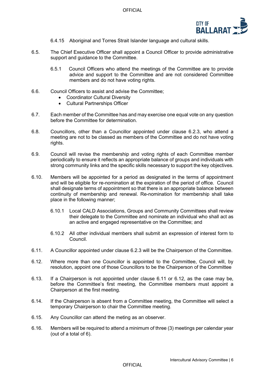

- 6.4.15 Aboriginal and Torres Strait Islander language and cultural skills.
- 6.5. The Chief Executive Officer shall appoint a Council Officer to provide administrative support and guidance to the Committee.
	- 6.5.1 Council Officers who attend the meetings of the Committee are to provide advice and support to the Committee and are not considered Committee members and do not have voting rights.
- 6.6. Council Officers to assist and advise the Committee;
	- Coordinator Cultural Diversity
	- Cultural Partnerships Officer
- 6.7. Each member of the Committee has and may exercise one equal vote on any question before the Committee for determination.
- 6.8. Councillors, other than a Councillor appointed under clause [6.2.3,](#page-4-1) who attend a meeting are not to be classed as members of the Committee and do not have voting rights.
- 6.9. Council will revise the membership and voting rights of each Committee member periodically to ensure it reflects an appropriate balance of groups and individuals with strong community links and the specific skills necessary to support the key objectives.
- 6.10. Members will be appointed for a period as designated in the terms of appointment and will be eligible for re-nomination at the expiration of the period of office. Council shall designate terms of appointment so that there is an appropriate balance between continuity of membership and renewal. Re-nomination for membership shall take place in the following manner;
	- 6.10.1 Local CALD Associations, Groups and Community Committees shall review their delegate to the Committee and nominate an individual who shall act as an active and engaged representative on the Committee; and
	- 6.10.2 All other individual members shall submit an expression of interest form to Council.
- 6.11. A Councillor appointed under clause 6.2.3 will be the Chairperson of the Committee.
- 6.12. Where more than one Councillor is appointed to the Committee, Council will, by resolution, appoint one of those Councillors to be the Chairperson of the Committee
- 6.13. If a Chairperson is not appointed under clause 6.11 or 6.12, as the case may be, before the Committee's first meeting, the Committee members must appoint a Chairperson at the first meeting.
- 6.14. If the Chairperson is absent from a Committee meeting, the Committee will select a temporary Chairperson to chair the Committee meeting.
- 6.15. Any Councillor can attend the meting as an observer.
- 6.16. Members will be required to attend a minimum of three (3) meetings per calendar year (out of a total of 6).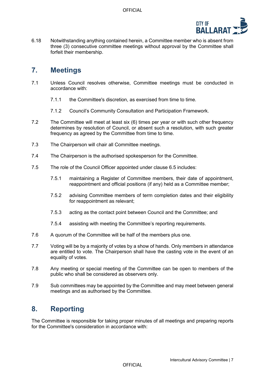

6.18 Notwithstanding anything contained herein, a Committee member who is absent from three (3) consecutive committee meetings without approval by the Committee shall forfeit their membership.

#### <span id="page-6-0"></span>**7. Meetings**

- 7.1 Unless Council resolves otherwise, Committee meetings must be conducted in accordance with:
	- 7.1.1 the Committee's discretion, as exercised from time to time.
	- 7.1.2 Council's Community Consultation and Participation Framework.
- 7.2 The Committee will meet at least six (6) times per year or with such other frequency determines by resolution of Council, or absent such a resolution, with such greater frequency as agreed by the Committee from time to time.
- 7.3 The Chairperson will chair all Committee meetings.
- 7.4 The Chairperson is the authorised spokesperson for the Committee.
- 7.5 The role of the Council Officer appointed under clause 6.5 includes:
	- 7.5.1 maintaining a Register of Committee members, their date of appointment, reappointment and official positions (if any) held as a Committee member;
	- 7.5.2 advising Committee members of term completion dates and their eligibility for reappointment as relevant;
	- 7.5.3 acting as the contact point between Council and the Committee; and
	- 7.5.4 assisting with meeting the Committee's reporting requirements.
- 7.6 A quorum of the Committee will be half of the members plus one.
- 7.7 Voting will be by a majority of votes by a show of hands. Only members in attendance are entitled to vote. The Chairperson shall have the casting vote in the event of an equality of votes.
- 7.8 Any meeting or special meeting of the Committee can be open to members of the public who shall be considered as observers only.
- 7.9 Sub committees may be appointed by the Committee and may meet between general meetings and as authorised by the Committee.

#### <span id="page-6-1"></span>**8. Reporting**

The Committee is responsible for taking proper minutes of all meetings and preparing reports for the Committee's consideration in accordance with: